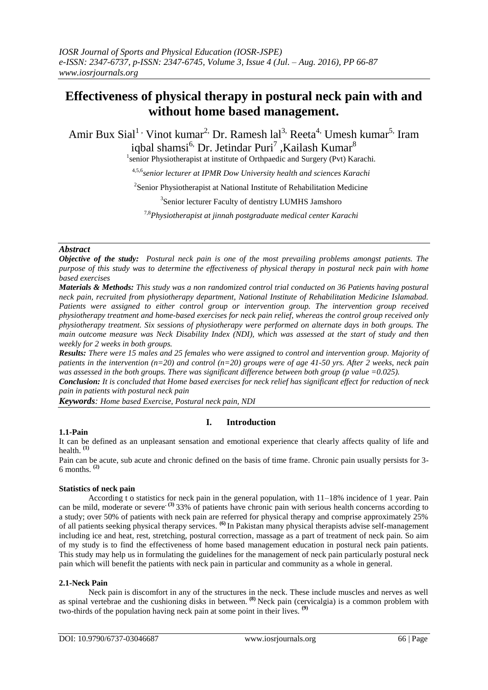# **Effectiveness of physical therapy in postural neck pain with and without home based management.**

Amir Bux Sial<sup>1</sup>, Vinot kumar<sup>2,</sup> Dr. Ramesh lal<sup>3,</sup> Reeta<sup>4,</sup> Umesh kumar<sup>5,</sup> Iram iqbal shamsi<sup>6,</sup> Dr. Jetindar Puri<sup>7</sup> ,Kailash Kumar<sup>8</sup>

<sup>1</sup>senior Physiotherapist at institute of Orthpaedic and Surgery (Pvt) Karachi.

4,5,6*senior lecturer at IPMR Dow University health and sciences Karachi*

<sup>2</sup>Senior Physiotherapist at National Institute of Rehabilitation Medicine

<sup>3</sup>Senior lecturer Faculty of dentistry LUMHS Jamshoro

7,8*Physiotherapist at jinnah postgraduate medical center Karachi*

### *Abstract*

*Objective of the study: Postural neck pain is one of the most prevailing problems amongst patients. The purpose of this study was to determine the effectiveness of physical therapy in postural neck pain with home based exercises*

*Materials & Methods: This study was a non randomized control trial conducted on 36 Patients having postural neck pain, recruited from physiotherapy department, National Institute of Rehabilitation Medicine Islamabad. Patients were assigned to either control group or intervention group. The intervention group received physiotherapy treatment and home-based exercises for neck pain relief, whereas the control group received only physiotherapy treatment. Six sessions of physiotherapy were performed on alternate days in both groups. The main outcome measure was Neck Disability Index (NDI), which was assessed at the start of study and then weekly for 2 weeks in both groups.*

*Results: There were 15 males and 25 females who were assigned to control and intervention group. Majority of patients in the intervention (n=20) and control (n=20) groups were of age 41-50 yrs. After 2 weeks, neck pain was assessed in the both groups. There was significant difference between both group (p value =0.025).*

*Conclusion: It is concluded that Home based exercises for neck relief has significant effect for reduction of neck pain in patients with postural neck pain* 

*Keywords: Home based Exercise, Postural neck pain, NDI*

### **I. Introduction**

### **1.1-Pain**

It can be defined as an unpleasant sensation and emotional experience that clearly affects quality of life and health. **(1)**

Pain can be acute, sub acute and chronic defined on the basis of time frame. Chronic pain usually persists for 3- 6 months. **(2)**

### **Statistics of neck pain**

According t o statistics for neck pain in the general population, with 11–18% incidence of 1 year. Pain can be mild, moderate or severe<sup>. (3)</sup> 33% of patients have chronic pain with serious health concerns according to a study; over 50% of patients with neck pain are referred for physical therapy and comprise approximately 25% of all patients seeking physical therapy services. **(6)** In Pakistan many physical therapists advise self-management including ice and heat, rest, stretching, postural correction, massage as a part of treatment of neck pain. So aim of my study is to find the effectiveness of home based management education in postural neck pain patients. This study may help us in formulating the guidelines for the management of neck pain particularly postural neck pain which will benefit the patients with neck pain in particular and community as a whole in general.

### **2.1-Neck Pain**

Neck pain is discomfort in any of the structures in the neck. These include muscles and nerves as well as spinal vertebrae and the cushioning disks in between. **(8)** Neck pain (cervicalgia) is a common problem with two-thirds of the population having neck [pain](http://en.wikipedia.org/wiki/Pain) at some point in their lives. **(9)**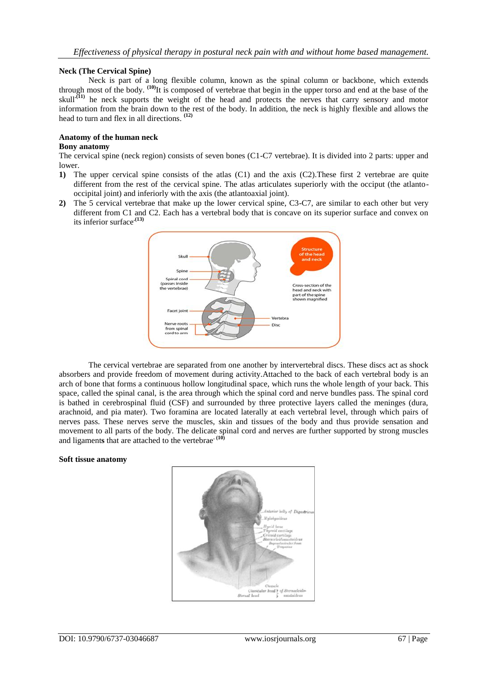# **Neck (The Cervical Spine)**

Neck is part of a long flexible column, known as the spinal column or backbone, which extends through most of the body. **(10)**It is composed of vertebrae that begin in the upper torso and end at the base of the skull**.(11)** he neck supports the weight of the head and protects the nerves that carry sensory and motor information from the [brain](http://en.wikipedia.org/wiki/Human_brain) down to the rest of the body. In addition, the neck is highly flexible and allows the head to turn and flex in all directions. **(12)**

# **Anatomy of the human neck**

### **Bony anatomy**

The cervical spine (neck region) consists of seven bones (C1-C7 vertebrae). It is divided into 2 parts: upper and lower.

- **1)** The upper cervical spine consists of the atlas (C1) and the axis (C2).These first 2 vertebrae are quite different from the rest of the cervical spine. The atlas articulates superiorly with the occiput (the atlantooccipital joint) and inferiorly with the axis (the atlantoaxial joint).
- **2)** The 5 cervical vertebrae that make up the lower cervical spine, C3-C7, are similar to each other but very different from C1 and C2. Each has a vertebral body that is concave on its superior surface and convex on its inferior surface**.(13)**



The cervical vertebrae are separated from one another by intervertebral discs. These discs act as shock absorbers and provide freedom of movement during activity.Attached to the back of each vertebral body is an arch of bone that forms a continuous hollow longitudinal space, which runs the whole length of your back. This space, called the spinal canal, is the area through which the spinal cord and nerve bundles pass. The spinal cord is bathed in cerebrospinal fluid (CSF) and surrounded by three protective layers called the meninges (dura, arachnoid, and pia mater). Two foramina are located laterally at each vertebral level, through which pairs of nerves pass. These nerves serve the muscles, skin and tissues of the body and thus provide sensation and movement to all parts of the body. The delicate spinal cord and nerves are further supported by strong muscles and ligament**s** that are attached to the vertebrae**. (10)**

#### **Soft tissue anatomy**

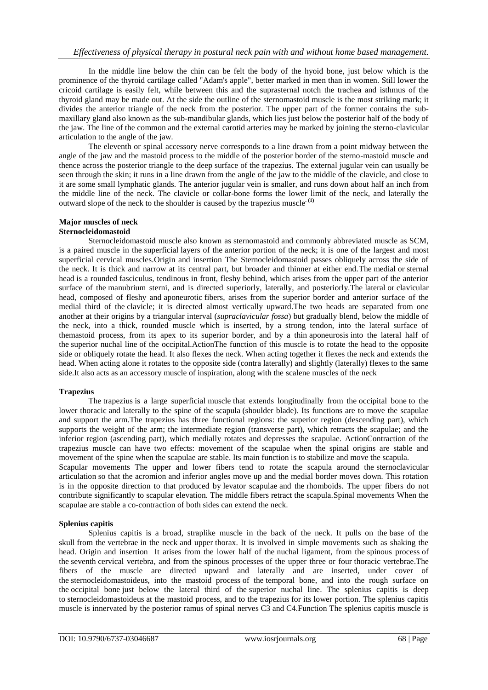In the middle line below the [chin](http://en.wikipedia.org/wiki/Chin) can be felt the body of the [hyoid bone,](http://en.wikipedia.org/wiki/Hyoid_bone) just below which is the prominence of the [thyroid cartilage](http://en.wikipedia.org/wiki/Thyroid_cartilage) called ["Adam's apple"](http://en.wikipedia.org/wiki/Adam%27s_apple), better marked in men than in women. Still lower the [cricoid cartilage](http://en.wikipedia.org/wiki/Cricoid_cartilage) is easily felt, while between this and the [suprasternal notch](http://en.wikipedia.org/wiki/Suprasternal_notch) the [trachea](http://en.wikipedia.org/wiki/Vertebrate_trachea) and isthmus of the [thyroid gland](http://en.wikipedia.org/wiki/Thyroid_gland) may be made out. At the side the outline of the [sternomastoid muscle](http://en.wikipedia.org/wiki/Sternomastoid_muscle) is the most striking mark; it divides the anterior triangle of the neck from the posterior. The upper part of the former contains the [sub](http://en.wikipedia.org/wiki/Submaxillary_gland)[maxillary gland](http://en.wikipedia.org/wiki/Submaxillary_gland) also known as the [sub-mandibular glands,](http://en.wikipedia.org/wiki/Submandibular_gland) which lies just below the posterior half of the body of the [jaw.](http://en.wikipedia.org/wiki/Jaw) The line of the [common](http://en.wikipedia.org/wiki/Common_carotid_artery) and the [external carotid arteries](http://en.wikipedia.org/wiki/External_carotid_arteries) may be marked by joining the sterno-clavicular articulation to the angle of the jaw.

The eleventh or [spinal accessory nerve](http://en.wikipedia.org/wiki/Spinal_accessory_nerve) corresponds to a line drawn from a point midway between the angle of the jaw and the mastoid process to the middle of the posterior border of the sterno-mastoid muscle and thence across the posterior triangle to the deep surface of the [trapezius.](http://en.wikipedia.org/wiki/Trapezius) The external [jugular vein](http://en.wikipedia.org/wiki/Jugular_vein) can usually be seen through the skin; it runs in a line drawn from the angle of the jaw to the middle of the [clavicle,](http://en.wikipedia.org/wiki/Clavicle) and close to it are some small lymphatic glands. The [anterior jugular vein](http://en.wikipedia.org/wiki/Anterior_jugular_vein) is smaller, and runs down about half an inch from the middle line of the neck. The [clavicle](http://en.wikipedia.org/wiki/Clavicle) or collar-bone forms the lower limit of the neck, and laterally the outward slope of the neck to the shoulder is caused by the [trapezius muscle](http://en.wikipedia.org/wiki/Trapezius_muscle)**. (1)**

# **Major muscles of neck**

# **Sternocleidomastoid**

Sternocleidomastoid muscle also known as sternomastoid and commonly abbreviated muscle as SCM, is a paired muscle in the [superficial](http://en.wiktionary.org/wiki/superficial) layers of the [anterior](http://en.wikipedia.org/wiki/Anterior) portion of the [neck;](http://en.wikipedia.org/wiki/Neck) it is one of the largest and most superficial cervical muscles.Origin and insertion The Sternocleidomastoid passes obliquely across the side of the neck. It is thick and narrow at its central part, but broader and thinner at either end.The medial or sternal head is a rounded [fasciculus,](http://en.wikipedia.org/wiki/Muscle_fascicle) tendinous in front, fleshy behind, which arises from the upper part of the anterior surface of the [manubrium sterni,](http://en.wikipedia.org/wiki/Manubrium_sterni) and is directed superiorly, laterally, and posteriorly.The lateral or clavicular head, composed of fleshy and [aponeurotic](http://en.wikipedia.org/wiki/Aponeurotic) fibers, arises from the superior border and anterior surface of the medial third of the [clavicle;](http://en.wikipedia.org/wiki/Clavicle) it is directed almost vertically upward.The two heads are separated from one another at their origins by a triangular interval (*supraclavicular fossa*) but gradually blend, below the middle of the neck, into a thick, rounded muscle which is inserted, by a strong tendon, into the lateral surface of th[emastoid process,](http://en.wikipedia.org/wiki/Mastoid_process) from its apex to its superior border, and by a thin [aponeurosis](http://en.wikipedia.org/wiki/Aponeurosis) into the lateral half of the [superior nuchal line](http://en.wikipedia.org/wiki/Superior_nuchal_line) of the occipital.ActionThe function of this muscle is to rotate the head to the opposite side or obliquely rotate the head. It also flexes the neck. When acting together it flexes the neck and extends the head. When acting alone it rotates to the opposite side (contra laterally) and slightly (laterally) flexes to the same side.It also acts as an accessory muscle of inspiration, along with the [scalene muscles](http://en.wikipedia.org/wiki/Scalene_muscles) of the neck

# **Trapezius**

The trapezius is a large superficial [muscle](http://en.wikipedia.org/wiki/Muscle) that extends longitudinally from the [occipital bone](http://en.wikipedia.org/wiki/Occipital_bone) to the lower thoracic and laterally to the spine of the [scapula](http://en.wikipedia.org/wiki/Scapula) (shoulder blade). Its functions are to move the scapulae and support the [arm.](http://en.wikipedia.org/wiki/Arm)The trapezius has three functional regions: the superior region (descending part), which supports the weight of the arm; the intermediate region (transverse part), which retracts the scapulae; and the inferior region (ascending part), which medially rotates and depresses the scapulae. ActionContraction of the trapezius muscle can have two effects: movement of the scapulae when the spinal origins are stable and movement of the spine when the scapulae are stable. Its main function is to stabilize and move the scapula. Scapular movements The upper and lower fibers tend to rotate the scapula around the [sternoclavicular](http://en.wikipedia.org/wiki/Sternoclavicular_articulation) 

[articulation](http://en.wikipedia.org/wiki/Sternoclavicular_articulation) so that the acromion and inferior angles move up and the medial border moves down. This rotation is in the opposite direction to that produced by [levator scapulae](http://en.wikipedia.org/wiki/Levator_scapulae_muscle) and the [rhomboids.](http://en.wikipedia.org/wiki/Rhomboid_muscles) The upper fibers do not contribute significantly to scapular elevation. The middle fibers retract the scapula.Spinal movements When the scapulae are stable a co-contraction of both sides can extend the neck.

# **Splenius capitis**

Splenius capitis is a broad, straplike muscle in the back of the neck. It pulls on the [base of the](http://en.wikipedia.org/wiki/Base_of_the_skull)  [skull](http://en.wikipedia.org/wiki/Base_of_the_skull) from the [vertebrae](http://en.wikipedia.org/wiki/Vertebrae) [in the neck](http://en.wikipedia.org/wiki/Cervical_vertebra) and upper [thorax.](http://en.wikipedia.org/wiki/Thoracic_vertebrae) It is involved in simple movements such as shaking the head. Origin and insertion It arises from the lower half of the [nuchal ligament,](http://en.wikipedia.org/wiki/Nuchal_ligament) from the [spinous process](http://en.wikipedia.org/wiki/Spinous_process) of the [seventh](http://en.wikipedia.org/wiki/Vertebra_prominens) [cervical vertebra,](http://en.wikipedia.org/wiki/Cervical_vertebra) and from the [spinous processes](http://en.wikipedia.org/wiki/Spinous_processes) of the upper three or four [thoracic vertebrae.T](http://en.wikipedia.org/wiki/Thoracic_vertebrae)he fibers of the muscle are directed upward and laterally and are inserted, under cover of the [sternocleidomastoideus,](http://en.wikipedia.org/wiki/Sternocleidomastoideus) into the [mastoid process](http://en.wikipedia.org/wiki/Mastoid_process) of the [temporal bone,](http://en.wikipedia.org/wiki/Temporal_bone) and into the rough surface on the [occipital bone](http://en.wikipedia.org/wiki/Occipital_bone) just below the lateral third of the [superior nuchal line.](http://en.wikipedia.org/wiki/Superior_nuchal_line) The splenius capitis is deep to [sternocleidomastoideus](http://en.wikipedia.org/wiki/Sternocleidomastoideus) at the mastoid process, and to the [trapezius](http://en.wikipedia.org/wiki/Trapezius) for its lower portion. The splenius capitis muscle is innervated by the [posterior ramus of spinal nerves](http://en.wikipedia.org/wiki/Posterior_ramus_of_spinal_nerve) [C3](http://en.wikipedia.org/wiki/Cervical_spinal_nerve_3) and [C4.F](http://en.wikipedia.org/wiki/Cervical_spinal_nerve_4)unction The splenius capitis muscle is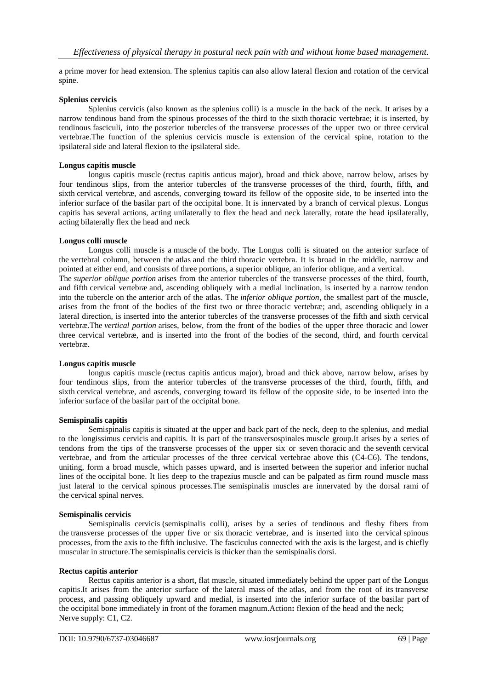a prime mover for head extension. The splenius capitis can also allow lateral flexion and rotation of the [cervical](http://en.wikipedia.org/wiki/Cervical_spine)  [spine.](http://en.wikipedia.org/wiki/Cervical_spine)

### **Splenius cervicis**

Splenius cervicis (also known as the splenius colli) is a muscle in the back of the neck. It arises by a narrow tendinous band from the [spinous processes](http://en.wikipedia.org/wiki/Spinous_processes) of the third to the sixth [thoracic vertebrae;](http://en.wikipedia.org/wiki/Thoracic_vertebrae) it is inserted, by tendinous [fasciculi,](http://en.wiktionary.org/wiki/fasciculus) into the [posterior tubercles](http://en.wikipedia.org/wiki/Posterior_tubercles) of the [transverse processes](http://en.wikipedia.org/wiki/Transverse_processes) of the upper two or three [cervical](http://en.wikipedia.org/wiki/Cervical_vertebrae)  [vertebrae.](http://en.wikipedia.org/wiki/Cervical_vertebrae)The function of the splenius cervicis muscle is extension of the cervical spine, rotation to the ipsilateral side and lateral flexion to the ipsilateral side.

#### **Longus capitis muscle**

longus capitis muscle (rectus capitis anticus major), broad and thick above, narrow below, arises by four tendinous slips, from the anterior tubercles of the [transverse processes](http://en.wikipedia.org/wiki/Transverse_processes) of the third, fourth, fifth, and sixth [cervical vertebræ,](http://en.wikipedia.org/wiki/Cervical_vertebr%C3%A6) and ascends, converging toward its fellow of the opposite side, to be inserted into the inferior surface of the [basilar](http://en.wikipedia.org/wiki/Basilar) part of the [occipital bone.](http://en.wikipedia.org/wiki/Occipital_bone) It is innervated by a branch of cervical plexus. Longus capitis has several actions, acting unilaterally to flex the head and neck laterally, rotate the head ipsilaterally, acting bilaterally flex the head and neck

#### **Longus colli muscle**

Longus colli muscle is a [muscle](http://en.wikipedia.org/wiki/Muscle) of the body. The Longus colli is situated on the anterior surface of the [vertebral column,](http://en.wikipedia.org/wiki/Vertebral_column) between the [atlas](http://en.wikipedia.org/wiki/Atlas_(anatomy)) and the third [thoracic vertebra.](http://en.wikipedia.org/wiki/Thoracic_vertebra) It is broad in the middle, narrow and pointed at either end, and consists of three portions, a superior oblique, an inferior oblique, and a vertical. The *superior oblique portion* arises from the [anterior tubercles](http://en.wikipedia.org/wiki/Anterior_tubercles) of the transverse processes of the third, fourth, and fifth [cervical vertebræ](http://en.wikipedia.org/wiki/Cervical_vertebr%C3%A6) and, ascending obliquely with a medial inclination, is inserted by a narrow tendon into the tubercle on the [anterior arch of the atlas.](http://en.wikipedia.org/wiki/Anterior_arch_of_the_atlas) The *inferior oblique portion*, the smallest part of the muscle, arises from the front of the bodies of the first two or three [thoracic vertebræ;](http://en.wikipedia.org/wiki/Thoracic_vertebr%C3%A6) and, ascending obliquely in a lateral direction, is inserted into the anterior tubercles of the [transverse processes](http://en.wikipedia.org/wiki/Transverse_processes) of the fifth and sixth cervical vertebræ.The *vertical portion* arises, below, from the front of the bodies of the upper three thoracic and lower three cervical vertebræ, and is inserted into the front of the bodies of the second, third, and fourth cervical vertebræ.

#### **Longus capitis muscle**

longus capitis muscle (rectus capitis anticus major), broad and thick above, narrow below, arises by four tendinous slips, from the anterior tubercles of the [transverse processes](http://en.wikipedia.org/wiki/Transverse_processes) of the third, fourth, fifth, and sixth [cervical vertebræ,](http://en.wikipedia.org/wiki/Cervical_vertebr%C3%A6) and ascends, converging toward its fellow of the opposite side, to be inserted into the inferior surface of the [basilar](http://en.wikipedia.org/wiki/Basilar) part of the [occipital bone.](http://en.wikipedia.org/wiki/Occipital_bone)

#### **Semispinalis capitis**

Semispinalis capitis is situated at the upper and back part of the [neck,](http://en.wikipedia.org/wiki/Neck) deep to the [splenius,](http://en.wikipedia.org/wiki/Splenius) and medial to the [longissimus cervicis](http://en.wikipedia.org/wiki/Longissimus_cervicis) and [capitis.](http://en.wikipedia.org/wiki/Longissimus_capitis) It is part of the [transversospinales](http://en.wikipedia.org/wiki/Transversospinales_muscles) muscle group.It arises by a series of tendons from the tips of the [transverse processes](http://en.wikipedia.org/wiki/Transverse_processes) of the upper six or seven [thoracic](http://en.wikipedia.org/wiki/Thoracic_vertebrae) and the [seventh](http://en.wikipedia.org/wiki/Cervical_vertebrae#Special_cervical_vertebrae) [cervical](http://en.wikipedia.org/wiki/Cervical_vertebrae)  [vertebrae,](http://en.wikipedia.org/wiki/Cervical_vertebrae) and from the articular processes of the three cervical vertebrae above this [\(C4-C6\).](http://en.wikipedia.org/wiki/Cervical_vertebrae#General_characteristics_.28C3-C6.29) The tendons, uniting, form a broad muscle, which passes upward, and is inserted between the superior and inferior [nuchal](http://en.wikipedia.org/wiki/Nuchal_lines)  [lines](http://en.wikipedia.org/wiki/Nuchal_lines) of the [occipital bone.](http://en.wikipedia.org/wiki/Occipital_bone) It lies deep to the [trapezius](http://en.wikipedia.org/wiki/Trapezius) muscle and can be palpated as firm round muscle mass just lateral to the cervical spinous processes.The semispinalis muscles are innervated by the dorsal rami of the [cervical spinal nerves.](http://en.wikipedia.org/wiki/Cervical_nerves)

#### **Semispinalis cervicis**

Semispinalis cervicis (semispinalis colli), arises by a series of tendinous and fleshy fibers from the [transverse processes](http://en.wikipedia.org/wiki/Transverse_processes) of the upper five or six [thoracic vertebrae,](http://en.wikipedia.org/wiki/Thoracic_vertebrae) and is inserted into the cervical [spinous](http://en.wikipedia.org/wiki/Spinous_processes)  [processes,](http://en.wikipedia.org/wiki/Spinous_processes) from the axis to the fifth inclusive. The fasciculus connected with the [axis](http://en.wikipedia.org/wiki/Axis_(anatomy)) is the largest, and is chiefly muscular in structure.The semispinalis cervicis is thicker than the [semispinalis dorsi.](http://en.wikipedia.org/wiki/Semispinalis_dorsi)

#### **Rectus capitis anterior**

Rectus capitis anterior is a short, flat muscle, situated immediately behind the upper part of the [Longus](http://en.wikipedia.org/wiki/Longus_capitis)  [capitis.](http://en.wikipedia.org/wiki/Longus_capitis)It arises from the anterior surface of the [lateral mass](http://en.wikipedia.org/wiki/Lateral_mass_of_atlas) of the [atlas,](http://en.wikipedia.org/wiki/Atlas_(anatomy)) and from the root of its [transverse](http://en.wikipedia.org/wiki/Transverse_process)  [process,](http://en.wikipedia.org/wiki/Transverse_process) and passing obliquely upward and medial, is inserted into the inferior surface of the [basilar part](http://en.wikipedia.org/wiki/Basilar_part_of_occipital_bone) of the [occipital bone](http://en.wikipedia.org/wiki/Occipital_bone) immediately in front of the [foramen magnum.](http://en.wikipedia.org/wiki/Foramen_magnum)Action**:** flexion of the head and the neck; Nerve supply: C1, C2.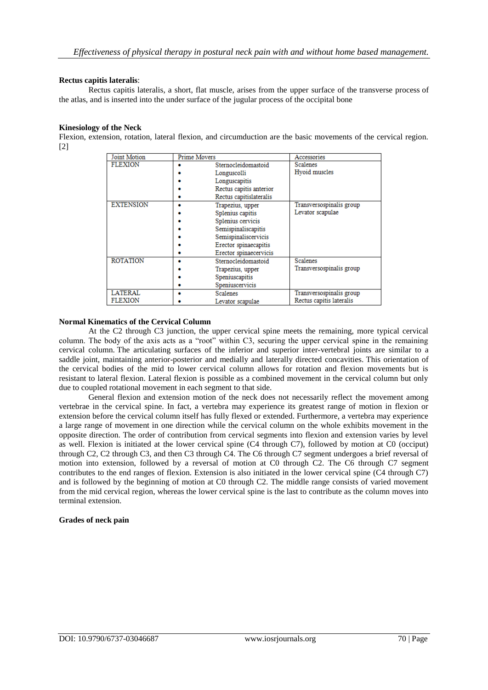## **Rectus capitis lateralis**:

Rectus capitis lateralis, a short, flat muscle, arises from the upper surface of the [transverse process](http://en.wikipedia.org/wiki/Transverse_process) of the [atlas,](http://en.wikipedia.org/wiki/Atlas_(anatomy)) and is inserted into the under surface of the [jugular process](http://en.wikipedia.org/wiki/Jugular_process) of the [occipital bone](http://en.wikipedia.org/wiki/Occipital_bone)

## **Kinesiology of the Neck**

Flexion, extension, rotation, lateral flexion, and circumduction are the basic movements of the cervical region. [\[2\]](#page-21-0)

| <b>Joint Motion</b> | Prime Movers   |                         | Accessories              |  |
|---------------------|----------------|-------------------------|--------------------------|--|
| <b>FLEXION</b>      |                | Sternocleidomastoid     | <b>Scalenes</b>          |  |
|                     |                | Longuscolli             | Hyoid muscles            |  |
|                     |                | Longuscapitis           |                          |  |
|                     |                | Rectus capitis anterior |                          |  |
|                     |                | Rectus capitislateralis |                          |  |
| <b>EXTENSION</b>    |                | Trapezius, upper        | Transversospinalis group |  |
|                     |                | Splenius capitis        | Levator scapulae         |  |
|                     |                | Splenius cervicis       |                          |  |
|                     |                | Semispinaliscapitis     |                          |  |
|                     |                | Semispinaliscervicis    |                          |  |
|                     |                | Erector spinaecapitis   |                          |  |
|                     |                | Erector spinaecervicis  |                          |  |
| <b>ROTATION</b>     |                | Sternocleidomastoid     | <b>Scalenes</b>          |  |
|                     |                | Trapezius, upper        | Transversospinalis group |  |
|                     | Speniuscapitis |                         |                          |  |
|                     |                | Speniuscervicis         |                          |  |
| <b>LATERAL</b>      |                | <b>Scalenes</b>         | Transversospinalis group |  |
| <b>FLEXION</b>      |                | Levator scapulae        | Rectus capitis lateralis |  |

### **Normal Kinematics of the Cervical Column**

At the C2 through C3 junction, the upper cervical spine meets the remaining, more typical cervical column. The body of the axis acts as a "root" within C3, securing the upper cervical spine in the remaining cervical column. The articulating surfaces of the inferior and superior inter-vertebral joints are similar to a saddle joint, maintaining anterior-posterior and medially and laterally directed concavities. This orientation of the cervical bodies of the mid to lower cervical column allows for rotation and flexion movements but is resistant to lateral flexion. Lateral flexion is possible as a combined movement in the cervical column but only due to coupled rotational movement in each segment to that side.

General flexion and extension motion of the neck does not necessarily reflect the movement among vertebrae in the cervical spine. In fact, a vertebra may experience its greatest range of motion in flexion or extension before the cervical column itself has fully flexed or extended. Furthermore, a vertebra may experience a large range of movement in one direction while the cervical column on the whole exhibits movement in the opposite direction. The order of contribution from cervical segments into flexion and extension varies by level as well. Flexion is initiated at the lower cervical spine (C4 through C7), followed by motion at C0 (occiput) through C2, C2 through C3, and then C3 through C4. The C6 through C7 segment undergoes a brief reversal of motion into extension, followed by a reversal of motion at C0 through C2. The C6 through C7 segment contributes to the end ranges of flexion. Extension is also initiated in the lower cervical spine (C4 through C7) and is followed by the beginning of motion at C0 through C2. The middle range consists of varied movement from the mid cervical region, whereas the lower cervical spine is the last to contribute as the column moves into terminal extension.

### **Grades of neck pain**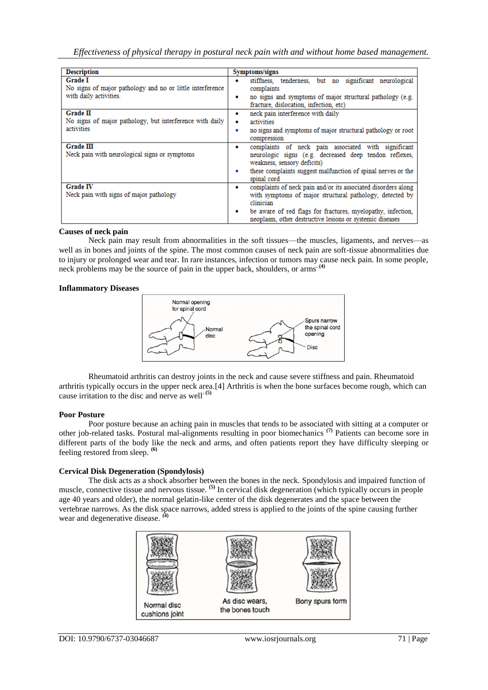| <b>Description</b>                                                                                    | Symptoms/signs                                                                                                                                                                                                                                                              |
|-------------------------------------------------------------------------------------------------------|-----------------------------------------------------------------------------------------------------------------------------------------------------------------------------------------------------------------------------------------------------------------------------|
| <b>Grade I</b><br>No signs of major pathology and no or little interference<br>with daily activities. | stiffness, tenderness, but no significant neurological<br>complaints<br>no signs and symptoms of major structural pathology (e.g.<br>٠<br>fracture, dislocation, infection, etc)                                                                                            |
| Grade II<br>No signs of major pathology, but interference with daily<br>activities                    | neck pain interference with daily<br>۰<br>activities<br>۰<br>no signs and symptoms of major structural pathology or root<br>۰<br>compression                                                                                                                                |
| Grade III<br>Neck pain with neurological signs or symptoms                                            | complaints of neck pain associated with significant<br>۰<br>neurologic signs (e.g. decreased deep tendon reflexes,<br>weakness, sensory deficits)<br>these complaints suggest malfunction of spinal nerves or the<br>۰<br>spinal cord                                       |
| <b>Grade IV</b><br>Neck pain with signs of major pathology                                            | complaints of neck pain and/or its associated disorders along<br>٠<br>with symptoms of major structural pathology, detected by<br>clinician<br>be aware of red flags for fractures, myelopathy, infection,<br>۰<br>neoplasm, other destructive lesions or systemic diseases |

### **Causes of neck pain**

Neck pain may result from abnormalities in the soft tissues—the muscles, ligaments, and nerves—as well as in bones and joints of the spine. The most common causes of neck pain are soft-tissue abnormalities due to injury or prolonged wear and tear. In rare instances, infection or tumors may cause neck pain. In some people, neck problems may be the source of pain in the upper back, shoulders, or arms<sup>(4)</sup>

# **Inflammatory Diseases**



Rheumatoid arthritis can destroy joints in the neck and cause severe stiffness and pain. Rheumatoid arthritis typically occurs in the upper neck area.[\[4\]](#page-21-1) Arthritis is when the bone surfaces become rough, which can cause irritation to the disc and nerve as well**. (5)**

### **Poor Posture**

Poor posture because an aching pain in muscles that tends to be associated with sitting at a computer or other job-related tasks. Postural mal-alignments resulting in poor biomechanics **(7)** Patients can become sore in different parts of the body like the neck and arms, and often patients report they have difficulty sleeping or feeling restored from sleep. **(6)**

### **Cervical Disk Degeneration (Spondylosis)**

The disk acts as a shock absorber between the bones in the neck. Spondylosis and impaired function of muscle, connective tissue and nervous tissue. **(5)** In cervical disk degeneration (which typically occurs in people age 40 years and older), the normal gelatin-like center of the disk degenerates and the space between the vertebrae narrows. As the disk space narrows, added stress is applied to the joints of the spine causing further wear and degenerative disease. **(4)**

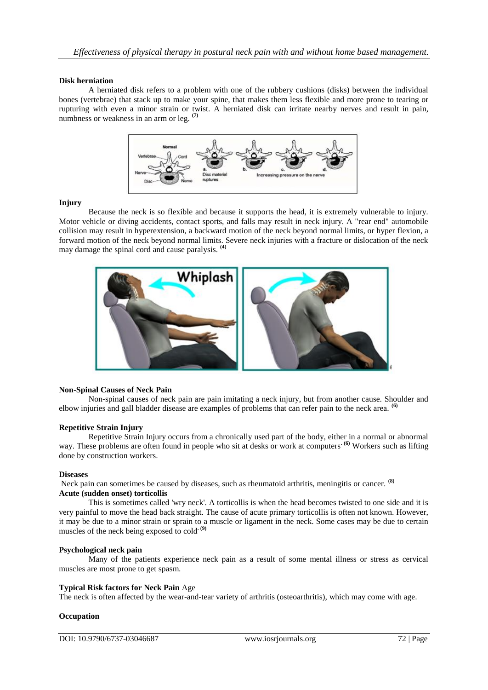### **Disk herniation**

A herniated disk refers to a problem with one of the rubbery cushions (disks) between the individual bones (vertebrae) that stack up to make your spine, that makes them less flexible and more prone to tearing or rupturing with even a minor strain or twist. A herniated disk can irritate nearby nerves and result in pain, numbness or weakness in an arm or leg. **(7)**



# **Injury**

Because the neck is so flexible and because it supports the head, it is extremely vulnerable to injury. Motor vehicle or diving accidents, contact sports, and falls may result in neck injury. A "rear end" automobile collision may result in hyperextension, a backward motion of the neck beyond normal limits, or hyper flexion, a forward motion of the neck beyond normal limits. Severe neck injuries with a fracture or dislocation of the neck may damage the spinal cord and cause paralysis. **(4)**



### **Non-Spinal Causes of Neck Pain**

Non-spinal causes of neck pain are pain imitating a neck injury, but from another cause. Shoulder and elbow injuries and gall bladder disease are examples of problems that can refer pain to the neck area. **(6)**

### **Repetitive Strain Injury**

Repetitive Strain Injury occurs from a chronically used part of the body, either in a normal or abnormal way. These problems are often found in people who sit at desks or work at computers<sup>. (6)</sup> Workers such as lifting done by construction workers.

### **Diseases**

Neck pain can sometimes be caused by diseases, such as rheumatoid arthritis, meningitis or cancer. **(8)**

### **Acute (sudden onset) torticollis**

This is sometimes called 'wry neck'. A torticollis is when the head becomes twisted to one side and it is very painful to move the head back straight. The cause of acute primary torticollis is often not known. However, it may be due to a minor strain or sprain to a muscle or ligament in the neck. Some cases may be due to certain muscles of the neck being exposed to cold**. (9)**

### **Psychological neck pain**

Many of the patients experience neck pain as a result of some mental illness or stress as cervical muscles are most prone to get spasm.

### **Typical Risk factors for Neck Pain** Age

The neck is often affected by the wear-and-tear variety of arthritis (osteoarthritis), which may come with age.

# **Occupation**

DOI: 10.9790/6737-03046687 www.iosrjournals.org 72 | Page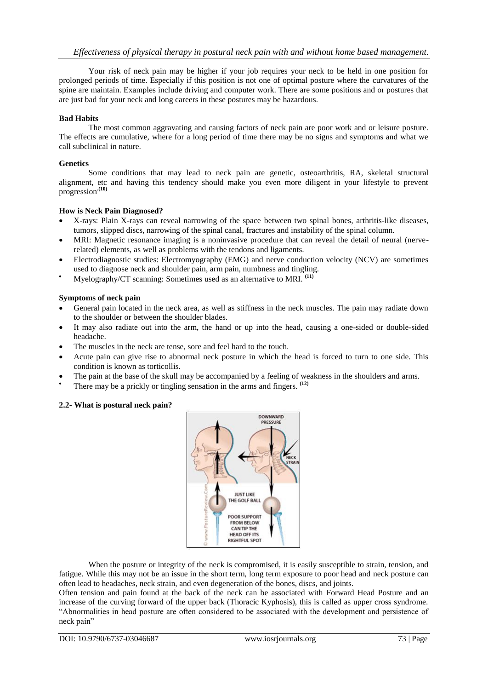Your risk of neck pain may be higher if your job requires your neck to be held in one position for prolonged periods of time. Especially if this position is not one of optimal posture where the curvatures of the spine are maintain. Examples include driving and computer work. There are some positions and or postures that are just bad for your neck and long careers in these postures may be hazardous.

# **Bad Habits**

The most common aggravating and causing factors of neck pain are poor work and or leisure posture. The effects are cumulative, where for a long period of time there may be no signs and symptoms and what we call subclinical in nature.

## **Genetics**

Some conditions that may lead to neck pain are genetic, osteoarthritis, RA, skeletal structural alignment, etc and having this tendency should make you even more diligent in your lifestyle to prevent progression**.(10)**

# **How is Neck Pain Diagnosed?**

- X-rays: Plain X-rays can reveal narrowing of the space between two spinal bones, [arthritis-](http://arthritis.webmd.com/default.htm)like diseases, tumors, slipped discs, narrowing of the spinal canal, [fractures](http://www.webmd.com/a-to-z-guides/understanding-fractures-basic-information) and instability of the spinal column.
- MRI: [Magnetic resonance imaging](http://www.webmd.com/a-to-z-guides/magnetic-resonance-imaging-mri) is a noninvasive procedure that can reveal the detail of neural (nerverelated) elements, as well as problems with the tendons and ligaments.
- Electrodiagnostic studies: Electromyography (EMG) and nerve conduction velocity (NCV) are sometimes used to diagnose neck and shoulder pain, arm pain, numbness and tingling.
- Myelography/CT scanning: Sometimes used as an alternative to MRI. **(11)**

### **Symptoms of neck pain**

- General pain located in the neck area, as well as stiffness in the neck muscles. The pain may radiate down to the shoulder or between the shoulder blades.
- It may also radiate out into the arm, the hand or up into the head, causing a one-sided or double-sided [headache.](http://www.netdoctor.co.uk/diseases/facts/headache.htm)
- The muscles in the neck are tense, sore and feel hard to the touch.
- Acute pain can give rise to abnormal neck posture in which the head is forced to turn to one side. This condition is known as torticollis.
- The pain at the base of the skull may be accompanied by a feeling of weakness in the shoulders and arms.
- There may be a prickly or tingling sensation in the arms and fingers. **(12)**

# **2.2- What is postural neck pain?**



When the posture or integrity of the neck is compromised, it is easily susceptible to strain, tension, and fatigue. While this may not be an issue in the short term, long term exposure to poor head and neck posture can often lead to headaches, neck strain, and even degeneration of the bones, discs, and joints.

Often tension and pain found at the back of the neck can be associated with [Forward Head Posture](http://posturereview.com/myPosture/forwardHeadPosture.html) and an increase of the curving forward of the upper back (Thoracic Kyphosis), this is called as upper cross syndrome. ―Abnormalities in head posture are often considered to be associated with the development and persistence of neck pain"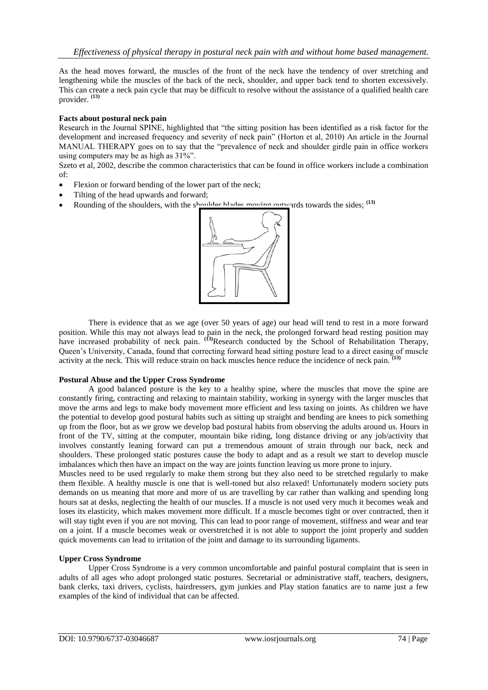As the head moves forward, the muscles of the front of the neck have the tendency of over stretching and lengthening while the muscles of the back of the neck, shoulder, and upper back tend to shorten excessively. This can create a neck pain cycle that may be difficult to resolve without the assistance of a qualified health care provider. **(13)**

# **Facts about postural neck pain**

Research in the Journal SPINE, highlighted that "the sitting position has been identified as a risk factor for the development and increased frequency and severity of neck pain" (Horton et al, 2010) An article in the Journal MANUAL THERAPY goes on to say that the "prevalence of neck and shoulder girdle pain in office workers using computers may be as high as  $31\%$ .

Szeto et al, 2002, describe the common characteristics that can be found in office workers include a combination of:

- Flexion or forward bending of the lower part of the neck;
- Tilting of the head upwards and forward;
- Rounding of the shoulders, with the shoulder blades moving outwards towards the sides; <sup>(13)</sup>



There is evidence that as we age (over 50 years of age) our head will tend to rest in a more forward position. While this may not always lead to pain in the neck, the prolonged forward head resting position may have increased probability of neck pain. **(13)**Research conducted by the School of Rehabilitation Therapy, Queen's University, Canada, found that correcting forward head sitting posture lead to a direct easing of muscle activity at the neck. This will reduce strain on back muscles hence reduce the incidence of neck pain.

### **Postural Abuse and the Upper Cross [Syndrome](http://www.thechilterncentre.co.uk/2011/06/postural-abuse-and-the-upper-cross-syndrome/)**

A good balanced posture is the key to a healthy spine, where the muscles that move the spine are constantly firing, contracting and relaxing to maintain stability, working in synergy with the larger muscles that move the arms and legs to make body movement more efficient and less taxing on joints. As children we have the potential to develop good postural habits such as sitting up straight and bending are knees to pick something up from the floor, but as we grow we develop bad postural habits from observing the adults around us. Hours in front of the TV, sitting at the computer, mountain bike riding, long distance driving or any job/activity that involves constantly leaning forward can put a tremendous amount of strain through our back, neck and shoulders. These prolonged static postures cause the body to adapt and as a result we start to develop muscle imbalances which then have an impact on the way are joints function leaving us more prone to injury.

Muscles need to be used regularly to make them strong but they also need to be stretched regularly to make them flexible. A healthy muscle is one that is well-toned but also relaxed! Unfortunately modern society puts demands on us meaning that more and more of us are travelling by car rather than walking and spending long hours sat at desks, neglecting the health of our muscles. If a muscle is not used very much it becomes weak and loses its elasticity, which makes movement more difficult. If a muscle becomes tight or over contracted, then it will stay tight even if you are not moving. This can lead to poor range of movement, stiffness and wear and tear on a joint. If a muscle becomes weak or overstretched it is not able to support the joint properly and sudden quick movements can lead to irritation of the joint and damage to its surrounding ligaments.

# **Upper Cross Syndrome**

Upper Cross Syndrome is a very common uncomfortable and painful postural complaint that is seen in adults of all ages who adopt prolonged static postures. Secretarial or administrative staff, teachers, designers, bank clerks, taxi drivers, cyclists, hairdressers, gym junkies and Play station fanatics are to name just a few examples of the kind of individual that can be affected.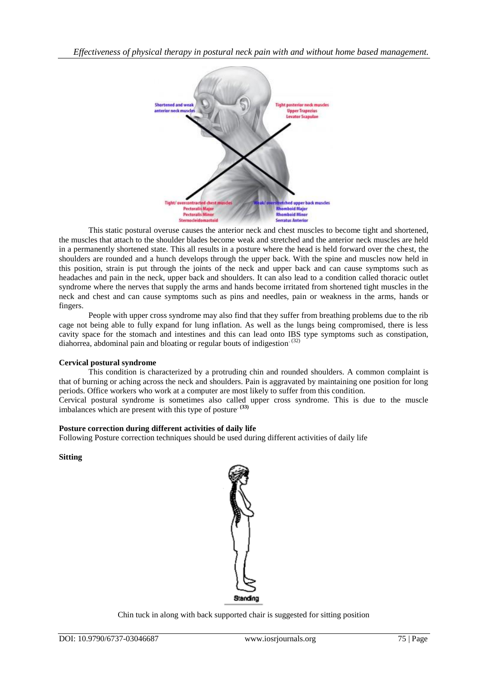

This static postural overuse causes the anterior neck and chest muscles to become tight and shortened, the muscles that attach to the shoulder blades become weak and stretched and the anterior neck muscles are held in a permanently shortened state. This all results in a posture where the head is held forward over the chest, the shoulders are rounded and a hunch develops through the upper back. With the spine and muscles now held in this position, strain is put through the joints of the neck and upper back and can cause symptoms such as headaches and pain in the neck, upper back and shoulders. It can also lead to a condition called thoracic outlet syndrome where the nerves that supply the arms and hands become irritated from shortened tight muscles in the neck and chest and can cause symptoms such as pins and needles, pain or weakness in the arms, hands or fingers.

People with upper cross syndrome may also find that they suffer from breathing problems due to the rib cage not being able to fully expand for lung inflation. As well as the lungs being compromised, there is less cavity space for the stomach and intestines and this can lead onto IBS type symptoms such as constipation, diahorrea, abdominal pain and bloating or regular bouts of indigestion<sup> $(32)$ </sup>

### **Cervical postural syndrome**

This condition is characterized by a protruding chin and rounded shoulders. A common complaint is that of burning or aching across the neck and shoulders. Pain is aggravated by maintaining one position for long periods. Office workers who work at a computer are most likely to suffer from this condition.

Cervical postural syndrome is sometimes also called upper cross syndrome. This is due to the muscle imbalances which are present with this type of posture<sup>(33)</sup>

## **Posture correction during different activities of daily life**

Following Posture correction techniques should be used during different activities of daily life

**Sitting** 



Chin tuck in along with back supported chair is suggested for sitting position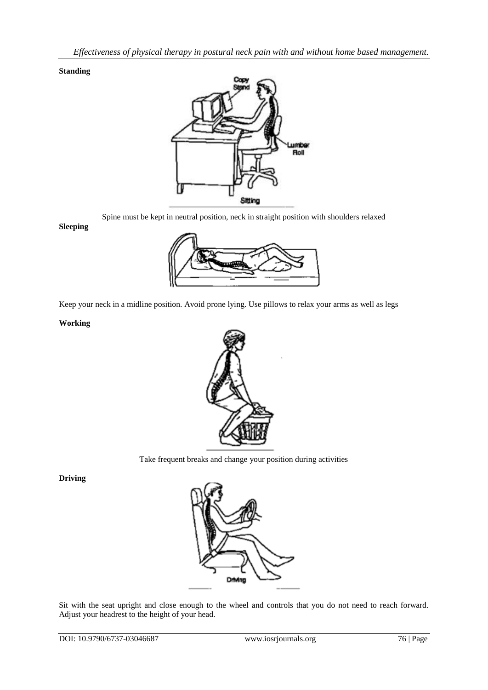# **Standing**



Spine must be kept in neutral position, neck in straight position with shoulders relaxed



Keep your neck in a midline position. Avoid prone lying. Use pillows to relax your arms as well as legs

# **Working**

**Sleeping** 



Take frequent breaks and change your position during activities

**Driving** 



Sit with the seat upright and close enough to the wheel and controls that you do not need to reach forward. Adjust your headrest to the height of your head.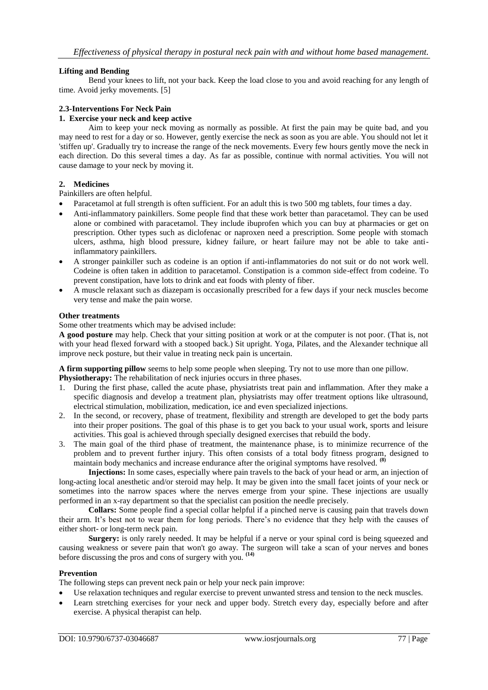# **Lifting and Bending**

Bend your knees to lift, not your back. Keep the load close to you and avoid reaching for any length of time. Avoid jerky movements. [\[5\]](#page-21-2)

# **2.3-Interventions For Neck Pain**

#### **1. Exercise your neck and keep active**

Aim to keep your neck moving as normally as possible. At first the pain may be quite bad, and you may need to rest for a day or so. However, gently exercise the neck as soon as you are able. You should not let it 'stiffen up'. Gradually try to increase the range of the neck movements. Every few hours gently move the neck in each direction. Do this several times a day. As far as possible, continue with normal activities. You will not cause damage to your neck by moving it.

### **2. Medicines**

Painkillers are often helpful.

- Paracetamol at full strength is often sufficient. For an adult this is two 500 mg tablets, four times a day.
- Anti-inflammatory painkillers. Some people find that these work better than paracetamol. They can be used alone or combined with paracetamol. They include ibuprofen which you can buy at pharmacies or get on prescription. Other types such as diclofenac or naproxen need a prescription. Some people with stomach ulcers, asthma, high blood pressure, kidney failure, or heart failure may not be able to take antiinflammatory painkillers.
- A stronger painkiller such as codeine is an option if anti-inflammatories do not suit or do not work well. Codeine is often taken in addition to paracetamol. Constipation is a common side-effect from codeine. To prevent constipation, have lots to drink and eat foods with plenty of fiber.
- A muscle relaxant such as diazepam is occasionally prescribed for a few days if your neck muscles become very tense and make the pain worse.

#### **Other treatments**

Some other treatments which may be advised include:

**A good posture** may help. Check that your sitting position at work or at the computer is not poor. (That is, not with your head flexed forward with a stooped back.) Sit upright. Yoga, Pilates, and the Alexander technique all improve neck posture, but their value in treating neck pain is uncertain.

**A firm supporting pillow** seems to help some people when sleeping. Try not to use more than one pillow.

**Physiotherapy:** The rehabilitation of neck injuries occurs in three phases.

- 1. During the first phase, called the acute phase, physiatrists treat pain and inflammation. After they make a specific diagnosis and develop a treatment plan, physiatrists may offer treatment options like ultrasound, electrical stimulation, mobilization, medication, ice and even specialized injections.
- 2. In the second, or recovery, phase of treatment, flexibility and strength are developed to get the body parts into their proper positions. The goal of this phase is to get you back to your usual work, sports and leisure activities. This goal is achieved through specially designed exercises that rebuild the body.
- 3. The main goal of the third phase of treatment, the maintenance phase, is to minimize recurrence of the problem and to prevent further injury. This often consists of a total body fitness program, designed to maintain body mechanics and increase endurance after the original symptoms have resolved. **(8)**

**Injections:** In some cases, especially where pain travels to the back of your head or arm, an injection of long-acting local anesthetic and/or steroid may help. It may be given into the small facet joints of your neck or sometimes into the narrow spaces where the nerves emerge from your spine. These injections are usually performed in an x-ray department so that the specialist can position the needle precisely.

**Collars:** Some people find a special collar helpful if a pinched nerve is causing pain that travels down their arm. It's best not to wear them for long periods. There's no evidence that they help with the causes of either short- or long-term neck pain.

**Surgery:** is only rarely needed. It may be helpful if a nerve or your spinal cord is being squeezed and causing weakness or severe pain that won't go away. The surgeon will take a scan of your nerves and bones before discussing the pros and cons of surgery with you. **(14)**

## **Prevention**

The following steps can prevent neck pain or help your neck pain improve:

- Use relaxation techniques and regular exercise to prevent unwanted stress and tension to the neck muscles.
- Learn stretching exercises for your neck and upper body. Stretch every day, especially before and after exercise. A physical therapist can help.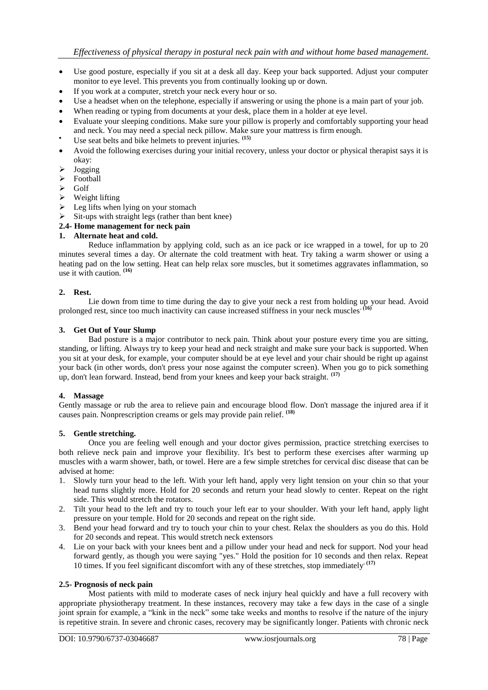- Use good posture, especially if you sit at a desk all day. Keep your back supported. Adjust your computer monitor to eye level. This prevents you from continually looking up or down.
- If you work at a computer, stretch your neck every hour or so.
- Use a headset when on the telephone, especially if answering or using the phone is a main part of your job.
- When reading or typing from documents at your desk, place them in a holder at eye level.
- Evaluate your sleeping conditions. Make sure your pillow is properly and comfortably supporting your head and neck. You may need a special neck pillow. Make sure your mattress is firm enough.
- Use seat belts and bike helmets to prevent injuries. **(15)**
- Avoid the following exercises during your initial recovery, unless your doctor or physical therapist says it is okay:
- $\triangleright$  Jogging
- > Football
- $\triangleright$  Golf
- $\triangleright$  Weight lifting
- $\triangleright$  Leg lifts when lying on your stomach
- $\triangleright$  Sit-ups with straight legs (rather than bent knee)
- **2.4- Home management for neck pain**

# **1. Alternate heat and cold.**

Reduce inflammation by applying cold, such as an ice pack or ice wrapped in a towel, for up to 20 minutes several times a day. Or alternate the cold treatment with heat. Try taking a warm shower or using a heating pad on the low setting. Heat can help relax sore muscles, but it sometimes aggravates inflammation, so use it with caution. **(16)**

# **2. Rest.**

Lie down from time to time during the day to give your neck a rest from holding up your head. Avoid prolonged rest, since too much inactivity can cause increased stiffness in your neck muscles<sup>the</sup>

# **3. Get Out of Your Slump**

Bad posture is a major contributor to neck pain. Think about your posture every time you are sitting, standing, or lifting. Always try to keep your head and neck straight and make sure your back is supported. When you sit at your desk, for example, your computer should be at eye level and your chair should be right up against your back (in other words, don't press your nose against the computer screen). When you go to pick something up, don't lean forward. Instead, bend from your knees and keep your back straight. **(17)**

# **4. Massage**

Gently [massage](http://www.webmd.com/balance/massage-therapy-styles-and-health-benefits) or rub the area to relieve pain and encourage [blood](http://www.webmd.com/heart/anatomy-picture-of-blood) flow. Don't massage the injured area if it causes pain. Nonprescription creams or gels may provide pain relief. **(18)** 

# **5. Gentle stretching.**

Once you are feeling well enough and your doctor gives permission, practice [stretching](http://www.webmd.com/fitness-exercise/tc/fitness-flexibility) exercises to both relieve neck pain and improve your flexibility. It's best to perform these exercises after warming up muscles with a warm shower, bath, or towel. Here are a few simple stretches for cervical disc disease that can be advised at home:

- 1. Slowly turn your head to the left. With your left hand, apply very light tension on your chin so that your head turns slightly more. Hold for 20 seconds and return your head slowly to center. Repeat on the right side. This would stretch the rotators.
- 2. Tilt your head to the left and try to touch your left ear to your shoulder. With your left hand, apply light pressure on your temple. Hold for 20 seconds and repeat on the right side.
- 3. Bend your head forward and try to touch your chin to your chest. Relax the shoulders as you do this. Hold for 20 seconds and repeat. This would stretch neck extensors
- 4. Lie on your back with your knees bent and a pillow under your head and neck for support. Nod your head forward gently, as though you were saying "yes." Hold the position for 10 seconds and then relax. Repeat 10 times. If you feel significant discomfort with any of these stretches, stop immediately**. (17)**

# **2.5- Prognosis of neck pain**

Most patients with mild to moderate cases of neck injury heal quickly and have a full recovery with appropriate physiotherapy treatment. In these instances, recovery may take a few days in the case of a single joint sprain for example, a "kink in the neck" some take weeks and months to resolve if the nature of the injury is repetitive strain. In severe and chronic cases, recovery may be significantly longer. Patients with chronic neck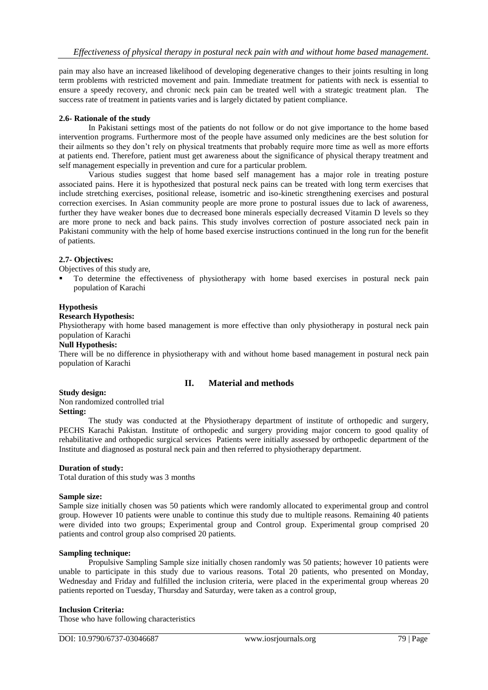pain may also have an increased likelihood of developing degenerative changes to their joints resulting in long term problems with restricted movement and pain. Immediate treatment for patients with neck is essential to ensure a speedy recovery, and chronic neck pain can be treated well with a strategic treatment plan. The success rate of treatment in patients varies and is largely dictated by patient compliance.

# **2.6- Rationale of the study**

In Pakistani settings most of the patients do not follow or do not give importance to the home based intervention programs. Furthermore most of the people have assumed only medicines are the best solution for their ailments so they don't rely on physical treatments that probably require more time as well as more efforts at patients end. Therefore, patient must get awareness about the significance of physical therapy treatment and self management especially in prevention and cure for a particular problem.

Various studies suggest that home based self management has a major role in treating posture associated pains. Here it is hypothesized that postural neck pains can be treated with long term exercises that include stretching exercises, positional release, isometric and iso-kinetic strengthening exercises and postural correction exercises. In Asian community people are more prone to postural issues due to lack of awareness, further they have weaker bones due to decreased bone minerals especially decreased Vitamin D levels so they are more prone to neck and back pains. This study involves correction of posture associated neck pain in Pakistani community with the help of home based exercise instructions continued in the long run for the benefit of patients.

# **2.7- Objectives:**

Objectives of this study are,

 To determine the effectiveness of physiotherapy with home based exercises in postural neck pain population of Karachi

# **Hypothesis**

### **Research Hypothesis:**

Physiotherapy with home based management is more effective than only physiotherapy in postural neck pain population of Karachi

## **Null Hypothesis:**

There will be no difference in physiotherapy with and without home based management in postural neck pain population of Karachi

# **II. Material and methods**

**Study design:**

Non randomized controlled trial **Setting:**

The study was conducted at the Physiotherapy department of institute of orthopedic and surgery, PECHS Karachi Pakistan. Institute of orthopedic and surgery providing major concern to good quality of rehabilitative and orthopedic surgical services Patients were initially assessed by orthopedic department of the Institute and diagnosed as postural neck pain and then referred to physiotherapy department.

### **Duration of study:**

Total duration of this study was 3 months

## **Sample size:**

Sample size initially chosen was 50 patients which were randomly allocated to experimental group and control group. However 10 patients were unable to continue this study due to multiple reasons. Remaining 40 patients were divided into two groups; Experimental group and Control group. Experimental group comprised 20 patients and control group also comprised 20 patients.

### **Sampling technique:**

Propulsive Sampling Sample size initially chosen randomly was 50 patients; however 10 patients were unable to participate in this study due to various reasons. Total 20 patients, who presented on Monday, Wednesday and Friday and fulfilled the inclusion criteria, were placed in the experimental group whereas 20 patients reported on Tuesday, Thursday and Saturday, were taken as a control group,

### **Inclusion Criteria:**

Those who have following characteristics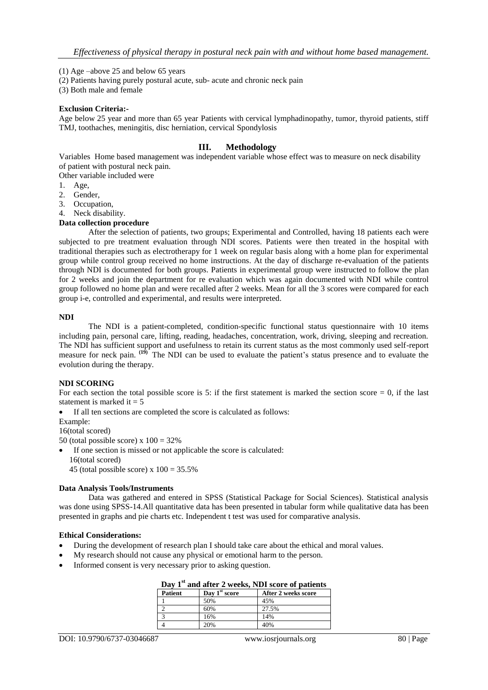- (1) Age –above 25 and below 65 years
- (2) Patients having purely postural acute, sub- acute and chronic neck pain

(3) Both male and female

#### **Exclusion Criteria:-**

Age below 25 year and more than 65 year Patients with cervical lymphadinopathy, tumor, thyroid patients, stiff TMJ, toothaches, meningitis, disc herniation, cervical Spondylosis

## **III. Methodology**

Variables Home based management was independent variable whose effect was to measure on neck disability of patient with postural neck pain.

Other variable included were

- 1. Age,
- 2. Gender,
- 3. Occupation,

4. Neck disability.

# **Data collection procedure**

After the selection of patients, two groups; Experimental and Controlled, having 18 patients each were subjected to pre treatment evaluation through NDI scores. Patients were then treated in the hospital with traditional therapies such as electrotherapy for 1 week on regular basis along with a home plan for experimental group while control group received no home instructions. At the day of discharge re-evaluation of the patients through NDI is documented for both groups. Patients in experimental group were instructed to follow the plan for 2 weeks and join the department for re evaluation which was again documented with NDI while control group followed no home plan and were recalled after 2 weeks. Mean for all the 3 scores were compared for each group i-e, controlled and experimental, and results were interpreted.

### **NDI**

The NDI is a patient-completed, condition-specific functional status questionnaire with 10 items including pain, personal care, lifting, reading, headaches, concentration, work, driving, sleeping and recreation. The NDI has sufficient support and usefulness to retain its current status as the most commonly used self-report measure for neck pain. **(19)** The NDI can be used to evaluate the patient's status presence and to evaluate the evolution during the therapy.

### **NDI SCORING**

For each section the total possible score is 5: if the first statement is marked the section score  $= 0$ , if the last statement is marked it  $= 5$ 

If all ten sections are completed the score is calculated as follows:

Example:

16(total scored)

- 50 (total possible score)  $x 100 = 32\%$
- If one section is missed or not applicable the score is calculated: 16(total scored) 45 (total possible score) x  $100 = 35.5\%$

### **Data Analysis Tools/Instruments**

Data was gathered and entered in SPSS (Statistical Package for Social Sciences). Statistical analysis was done using SPSS-14.All quantitative data has been presented in tabular form while qualitative data has been presented in graphs and pie charts etc. Independent t test was used for comparative analysis.

#### **Ethical Considerations:**

- During the development of research plan I should take care about the ethical and moral values.
- My research should not cause any physical or emotional harm to the person.
- Informed consent is very necessary prior to asking question.

| ---            |                           |                     |
|----------------|---------------------------|---------------------|
| <b>Patient</b> | Day 1 <sup>st</sup> score | After 2 weeks score |
|                | 50%                       | 45%                 |
|                | 60%                       | 27.5%               |
|                | 16%                       | 14%                 |
|                | 20%                       | 40%                 |

# **Day 1st and after 2 weeks, NDI score of patients**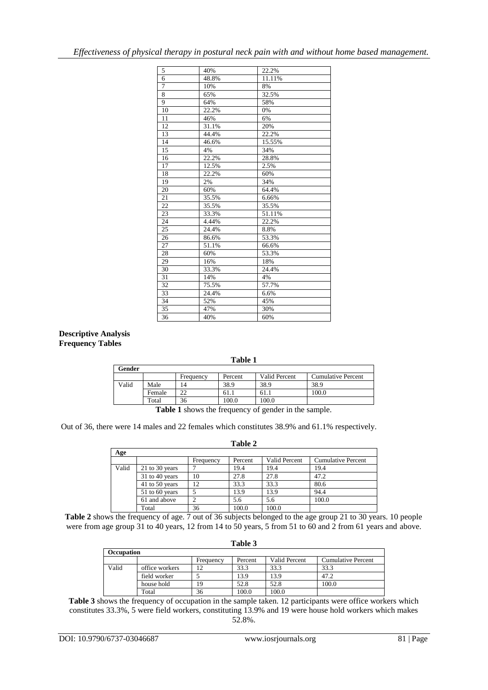| 5              | 40%   | 22.2%  |
|----------------|-------|--------|
| 6              | 48.8% | 11.11% |
| $\overline{7}$ | 10%   | 8%     |
| 8              | 65%   | 32.5%  |
| 9              | 64%   | 58%    |
| 10             | 22.2% | 0%     |
| 11             | 46%   | 6%     |
| 12             | 31.1% | 20%    |
| 13             | 44.4% | 22.2%  |
| 14             | 46.6% | 15.55% |
| 15             | 4%    | 34%    |
| 16             | 22.2% | 28.8%  |
| 17             | 12.5% | 2.5%   |
| 18             | 22.2% | 60%    |
| 19             | 2%    | 34%    |
| 20             | 60%   | 64.4%  |
| 21             | 35.5% | 6.66%  |
| 22             | 35.5% | 35.5%  |
| 23             | 33.3% | 51.11% |
| 24             | 4.44% | 22.2%  |
| 25             | 24.4% | 8.8%   |
| 26             | 86.6% | 53.3%  |
| 27             | 51.1% | 66.6%  |
| 28             | 60%   | 53.3%  |
| 29             | 16%   | 18%    |
| 30             | 33.3% | 24.4%  |
| 31             | 14%   | 4%     |
| 32             | 75.5% | 57.7%  |
| 33             | 24.4% | 6.6%   |
| 34             | 52%   | 45%    |
| 35             | 47%   | 30%    |
| 36             | 40%   | 60%    |

# **Descriptive Analysis Frequency Tables**

#### **Table 1**

| Gender |        |           |         |               |                           |
|--------|--------|-----------|---------|---------------|---------------------------|
|        |        | Frequency | Percent | Valid Percent | <b>Cumulative Percent</b> |
| Valid  | Male   | 14        | 38.9    | 38.9          | 38.9                      |
|        | Female | າາ        | 61.1    | 61.1          | 100.0                     |
|        | Total  | 36        | 100.0   | 100.0         |                           |

**Table 1** shows the frequency of gender in the sample.

**Table 2**

Out of 36, there were 14 males and 22 females which constitutes 38.9% and 61.1% respectively.

|       |                |           | 1 avit <i>2</i> |               |                           |
|-------|----------------|-----------|-----------------|---------------|---------------------------|
| Age   |                |           |                 |               |                           |
|       |                | Frequency | Percent         | Valid Percent | <b>Cumulative Percent</b> |
| Valid | 21 to 30 years |           | 19.4            | 19.4          | 19.4                      |
|       | 31 to 40 years | 10        | 27.8            | 27.8          | 47.2                      |
|       | 41 to 50 years | 12        | 33.3            | 33.3          | 80.6                      |
|       | 51 to 60 years |           | 13.9            | 13.9          | 94.4                      |
|       | 61 and above   |           | 5.6             | 5.6           | 100.0                     |
|       | Total          | 36        | 100.0           | 100.0         |                           |
|       |                |           |                 |               |                           |

**Table 2** shows the frequency of age. 7 out of 36 subjects belonged to the age group 21 to 30 years. 10 people were from age group 31 to 40 years, 12 from 14 to 50 years, 5 from 51 to 60 and 2 from 61 years and above.

| Table 3                                                            |                |    |       |       |       |  |  |  |
|--------------------------------------------------------------------|----------------|----|-------|-------|-------|--|--|--|
| Occupation                                                         |                |    |       |       |       |  |  |  |
| Valid Percent<br><b>Cumulative Percent</b><br>Percent<br>Frequency |                |    |       |       |       |  |  |  |
| Valid                                                              | office workers | 12 | 33.3  | 33.3  | 33.3  |  |  |  |
|                                                                    | field worker   |    | 13.9  | 13.9  | 47.2  |  |  |  |
|                                                                    | house hold     | 19 | 52.8  | 52.8  | 100.0 |  |  |  |
|                                                                    | Total          | 36 | 100.0 | 100.0 |       |  |  |  |

Table 3 shows the frequency of occupation in the sample taken. 12 participants were office workers which constitutes 33.3%, 5 were field workers, constituting 13.9% and 19 were house hold workers which makes 52.8%.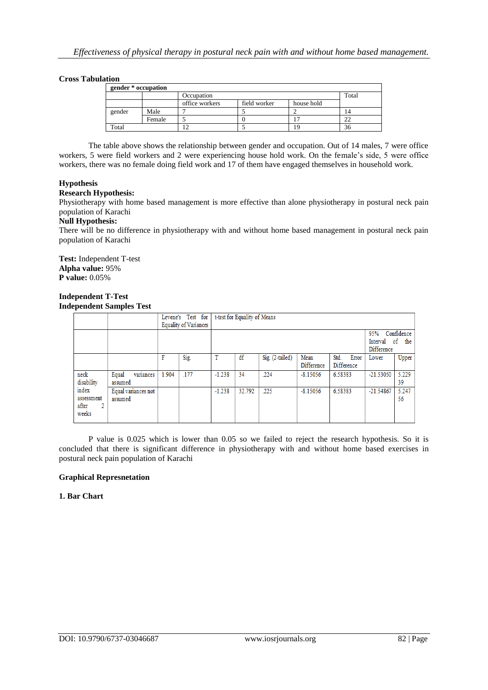# **Cross Tabulation**

| gender * occupation |        |                |              |            |    |  |  |  |  |
|---------------------|--------|----------------|--------------|------------|----|--|--|--|--|
|                     |        | Occupation     |              | Total      |    |  |  |  |  |
|                     |        | office workers | field worker | house hold |    |  |  |  |  |
| gender              | Male   |                |              |            | 14 |  |  |  |  |
|                     | Female |                |              |            |    |  |  |  |  |
| Total               |        |                |              |            | 36 |  |  |  |  |

The table above shows the relationship between gender and occupation. Out of 14 males, 7 were office workers, 5 were field workers and 2 were experiencing house hold work. On the female's side, 5 were office workers, there was no female doing field work and 17 of them have engaged themselves in household work.

# **Hypothesis**

# **Research Hypothesis:**

Physiotherapy with home based management is more effective than alone physiotherapy in postural neck pain population of Karachi

### **Null Hypothesis:**

There will be no difference in physiotherapy with and without home based management in postural neck pain population of Karachi

**Test:** Independent T-test **Alpha value:** 95% **P value:** 0.05%

#### **Independent T-Test Independent Samples Test**

|                                            |                                |       | Levene's Test for<br><b>Equality of Variances</b> |          | t-test for Equality of Means |                 |                                                       |                             |             |             |
|--------------------------------------------|--------------------------------|-------|---------------------------------------------------|----------|------------------------------|-----------------|-------------------------------------------------------|-----------------------------|-------------|-------------|
|                                            |                                |       |                                                   |          |                              |                 | Confidence<br>95%<br>Interval of<br>the<br>Difference |                             |             |             |
|                                            |                                | F     | Sig.                                              | Т        | df                           | Sig. (2-tailed) | Mean<br>Difference                                    | Std.<br>Error<br>Difference | Lower       | Upper       |
| neck<br>disability                         | Equal<br>variances<br>assumed  | 1.904 | .177                                              | $-1.238$ | 34                           | .224            | $-8.15056$                                            | 6.58383                     | $-21.53050$ | 5.229<br>39 |
| index<br>assessment<br>2<br>after<br>weeks | Equal variances not<br>assumed |       |                                                   | $-1.238$ | 32.792                       | .225            | $-8.15056$                                            | 6.58383                     | $-21.54867$ | 5.247<br>56 |

P value is 0.025 which is lower than 0.05 so we failed to reject the research hypothesis. So it is concluded that there is significant difference in physiotherapy with and without home based exercises in postural neck pain population of Karachi

### **Graphical Represnetation**

# **1. Bar Chart**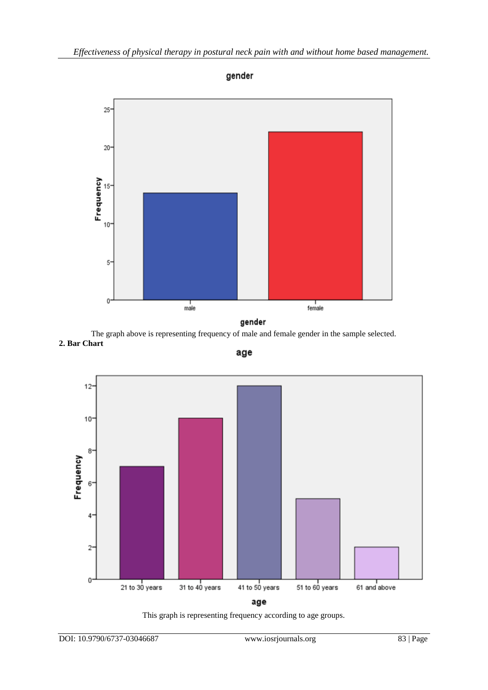gender



gender

The graph above is representing frequency of male and female gender in the sample selected.

**2. Bar Chart**



This graph is representing frequency according to age groups.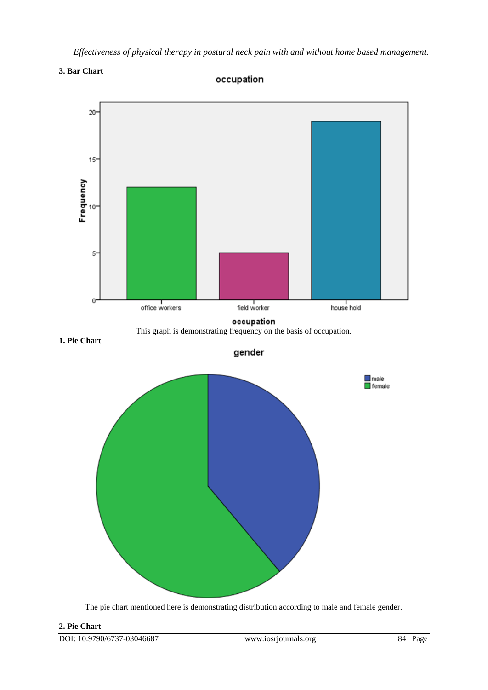# **3. Bar Chart**

occupation



The pie chart mentioned here is demonstrating distribution according to male and female gender.

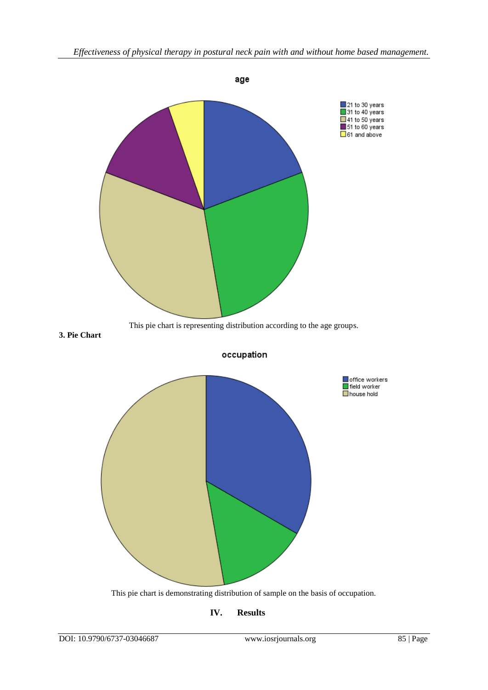

**IV. Results**

DOI: 10.9790/6737-03046687 www.iosrjournals.org 85 | Page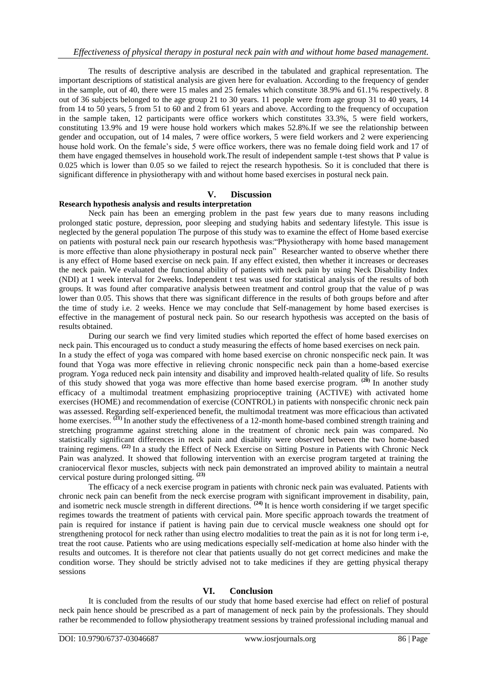The results of descriptive analysis are described in the tabulated and graphical representation. The important descriptions of statistical analysis are given here for evaluation. According to the frequency of gender in the sample, out of 40, there were 15 males and 25 females which constitute 38.9% and 61.1% respectively. 8 out of 36 subjects belonged to the age group 21 to 30 years. 11 people were from age group 31 to 40 years, 14 from 14 to 50 years, 5 from 51 to 60 and 2 from 61 years and above. According to the frequency of occupation in the sample taken, 12 participants were office workers which constitutes 33.3%, 5 were field workers, constituting 13.9% and 19 were house hold workers which makes 52.8%.If we see the relationship between gender and occupation, out of 14 males, 7 were office workers, 5 were field workers and 2 were experiencing house hold work. On the female's side, 5 were office workers, there was no female doing field work and 17 of them have engaged themselves in household work.The result of independent sample t-test shows that P value is 0.025 which is lower than 0.05 so we failed to reject the research hypothesis. So it is concluded that there is significant difference in physiotherapy with and without home based exercises in postural neck pain.

# **V. Discussion**

### **Research hypothesis analysis and results interpretation**

Neck pain has been an emerging problem in the past few years due to many reasons including prolonged static posture, depression, poor sleeping and studying habits and sedentary lifestyle. This issue is neglected by the general population The purpose of this study was to examine the effect of Home based exercise on patients with postural neck pain our research hypothesis was: "Physiotherapy with home based management is more effective than alone physiotherapy in postural neck pain" Researcher wanted to observe whether there is any effect of Home based exercise on neck pain. If any effect existed, then whether it increases or decreases the neck pain. We evaluated the functional ability of patients with neck pain by using Neck Disability Index (NDI) at 1 week interval for 2weeks. Independent t test was used for statistical analysis of the results of both groups. It was found after comparative analysis between treatment and control group that the value of p was lower than 0.05. This shows that there was significant difference in the results of both groups before and after the time of study i.e. 2 weeks. Hence we may conclude that Self-management by home based exercises is effective in the management of postural neck pain. So our research hypothesis was accepted on the basis of results obtained.

During our search we find very limited studies which reported the effect of home based exercises on neck pain. This encouraged us to conduct a study measuring the effects of home based exercises on neck pain. In a study the effect of yoga was compared with home based exercise on chronic nonspecific neck pain. It was found that Yoga was more effective in relieving chronic nonspecific neck pain than a home-based exercise program. Yoga reduced neck pain intensity and disability and improved health-related quality of life. So results of this study showed that yoga was more effective than home based exercise program. **(20)** In another study efficacy of a multimodal treatment emphasizing proprioceptive training (ACTIVE) with activated home exercises (HOME) and recommendation of exercise (CONTROL) in patients with nonspecific chronic neck pain was assessed. Regarding self-experienced benefit, the multimodal treatment was more efficacious than activated home exercises. <sup>(21)</sup> In another study the effectiveness of a 12-month home-based combined strength training and stretching programme against stretching alone in the treatment of chronic neck pain was compared. No statistically significant differences in neck pain and disability were observed between the two home-based training regimens. **(22)** In a study the Effect of Neck Exercise on Sitting Posture in Patients with Chronic Neck Pain was analyzed. It showed that following intervention with an exercise program targeted at training the craniocervical flexor muscles, subjects with neck pain demonstrated an improved ability to maintain a neutral cervical posture during prolonged sitting. **(23)**

The efficacy of a neck exercise program in patients with chronic neck pain was evaluated. Patients with chronic neck pain can benefit from the neck exercise program with significant improvement in disability, pain, and isometric neck muscle strength in different directions.<sup>(24)</sup> It is hence worth considering if we target specific regimes towards the treatment of patients with cervical pain. More specific approach towards the treatment of pain is required for instance if patient is having pain due to cervical muscle weakness one should opt for strengthening protocol for neck rather than using electro modalities to treat the pain as it is not for long term i-e, treat the root cause. Patients who are using medications especially self-medication at home also hinder with the results and outcomes. It is therefore not clear that patients usually do not get correct medicines and make the condition worse. They should be strictly advised not to take medicines if they are getting physical therapy sessions

### **VI. Conclusion**

It is concluded from the results of our study that home based exercise had effect on relief of postural neck pain hence should be prescribed as a part of management of neck pain by the professionals. They should rather be recommended to follow physiotherapy treatment sessions by trained professional including manual and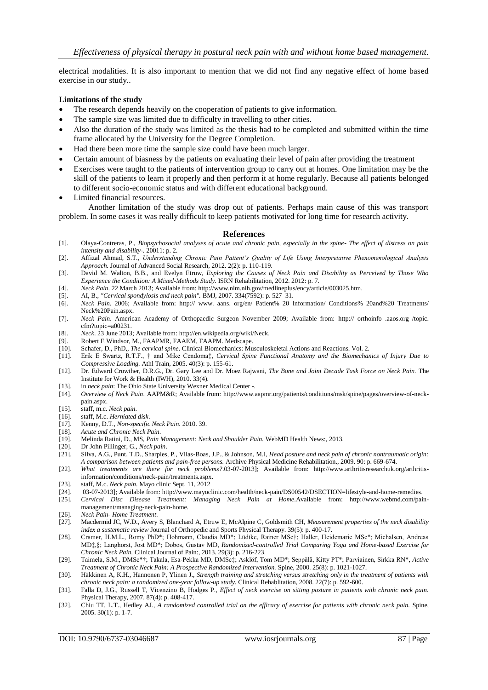electrical modalities. It is also important to mention that we did not find any negative effect of home based exercise in our study..

#### **Limitations of the study**

- The research depends heavily on the cooperation of patients to give information.
- The sample size was limited due to difficulty in travelling to other cities.
- Also the duration of the study was limited as the thesis had to be completed and submitted within the time frame allocated by the University for the Degree Completion.
- Had there been more time the sample size could have been much larger.
- Certain amount of biasness by the patients on evaluating their level of pain after providing the treatment
- Exercises were taught to the patients of intervention group to carry out at homes. One limitation may be the skill of the patients to learn it properly and then perform it at home regularly. Because all patients belonged to different socio-economic status and with different educational background.
- Limited financial resources.

Another limitation of the study was drop out of patients. Perhaps main cause of this was transport problem. In some cases it was really difficult to keep patients motivated for long time for research activity.

#### **References**

- [1]. Olaya-Contreras, P., *Biopsychosocial analyses of acute and chronic pain, especially in the spine- The effect of distress on pain intensity and disability-.* 20011: p. 2.
- <span id="page-21-0"></span>[2]. Affizal Ahmad, S.T., *Understanding Chronic Pain Patient's Quality of Life Using Interpretative Phenomenological Analysis Approach.* Journal of Advanced Social Research, 2012. 2(2): p. 110-119.
- [3]. David M. Walton, B.B., and Evelyn Etruw, *Exploring the Causes of Neck Pain and Disability as Perceived by Those Who Experience the Condition: A Mixed-Methods Study.* ISRN Rehabilitation, 2012. 2012: p. 7.
- <span id="page-21-1"></span>[4]. *Neck Pain*. 22 March 2013; Available from[: http://www.nlm.nih.gov/medlineplus/ency/article/003025.htm.](http://www.nlm.nih.gov/medlineplus/ency/article/003025.htm)
- <span id="page-21-2"></span>[5]. AI, B., *"Cervical spondylosis and neck pain".* BMJ, 2007. 334(7592): p. 527–31.
- [6]. *Neck Pain*. 2006; Available from: http:// www. aans. org/en/ Patient% 20 Information/ [Conditions%](http://www.aans.org/en/Patient%20Information/Conditions%20and%20Treatments/Neck%20Pain.aspx) 20and%20 Treatments/ [Neck%20Pain.aspx.](http://www.aans.org/en/Patient%20Information/Conditions%20and%20Treatments/Neck%20Pain.aspx)
- [7]. *Neck Pain*. American Academy of Orthopaedic Surgeon November 2009; Available from: http:// [orthoinfo](http://orthoinfo.aaos.org/topic.cfm?topic=a00231) .aaos.org /topic. [cfm?topic=a00231.](http://orthoinfo.aaos.org/topic.cfm?topic=a00231)
- [8]. *Neck*. 23 June 2013; Available from[: http://en.wikipedia.org/wiki/Neck.](http://en.wikipedia.org/wiki/Neck)
- [9]. Robert E Windsor, M., FAAPMR, FAAEM, FAAPM. Medscape.
- [10]. Schafer, D., PhD,, *The cervical spine*. Clinical Biomechanics: Musculoskeletal Actions and Reactions. Vol. 2.
- Erik E Swartz, R.T.F., † and Mike Cendoma<sup>+</sup>, *Cervical Spine Functional Anatomy and the Biomechanics of Injury Due to Compressive Loading.* Athl Train, 2005. 40(3): p. 155-61.
- [12]. Dr. Edward Crowther, D.R.G., Dr. Gary Lee and Dr. Moez Rajwani, *The Bone and Joint Decade Task Force on Neck Pain.* The Institute for Work & Health (IWH), 2010. 33(4).
- [13]. in *neck pain*: The Ohio State University Wexner Medical Center -.
- [14]. *Overview of Neck Pain*. AAPM&R; Available from: [http://www.aapmr.org/patients/conditions/msk/spine/pages/overview-of-neck](http://www.aapmr.org/patients/conditions/msk/spine/pages/overview-of-neck-pain.aspx)[pain.aspx.](http://www.aapmr.org/patients/conditions/msk/spine/pages/overview-of-neck-pain.aspx)
- [15]. staff, m.c. *Neck pain*.
- staff, M.c. *Herniated disk*.
- [17]. Kenny, D.T., *Non-specific Neck Pain.* 2010. 39.
- [18]. *Acute and Chronic Neck Pain*.
- [19]. Melinda Ratini, D., MS, *Pain Management: Neck and Shoulder Pain.* WebMD Health News:, 2013.
- [20]. Dr John Pillinger, G., *Neck pain*.
- [21]. Silva, A.G., Punt, T.D., Sharples, P., Vilas-Boas, J.P., & Johnson, M.I, *Head posture and neck pain of chronic nontraumatic origin: A comparison between patients and pain-free persons.* Archive Physical Medicine Rehabilitation., 2009. 90: p. 669-674.
- [22]. *What treatments are there for neck problems?*.03-07-2013]; Available from: [http://www.arthritisresearchuk.org/arthritis](http://www.arthritisresearchuk.org/arthritis-information/conditions/neck-pain/treatments.aspx)[information/conditions/neck-pain/treatments.aspx.](http://www.arthritisresearchuk.org/arthritis-information/conditions/neck-pain/treatments.aspx)
- [23]. staff, M.c. *Neck pain*. Mayo clinic Sept. 11, 2012
- [24]. 03-07-2013]; Available from[: http://www.mayoclinic.com/health/neck-pain/DS00542/DSECTION=lifestyle-and-home-remedies.](http://www.mayoclinic.com/health/neck-pain/DS00542/DSECTION=lifestyle-and-home-remedies)<br>[25]. Cervical Disc Disease Treatment: Managing Neck Pain at Home.Available from: http://www.webmd
- [25]. *Cervical Disc Disease Treatment: Managing Neck Pain at Home*.Available from: [http://www.webmd.com/pain](http://www.webmd.com/pain-management/managing-neck-pain-home)[management/managing-neck-pain-home.](http://www.webmd.com/pain-management/managing-neck-pain-home)
- [26]. *Neck Pain- Home Treatment*.
- [27]. Macdermid JC, W.D., Avery S, Blanchard A, Etruw E, McAlpine C, Goldsmith CH, *Measurement properties of the neck disability index a sustematic review* Journal of Orthopedic and Sports Physical Therapy. 39(5): p. 400-17.
- [28]. Cramer, H.M.L., Romy PhD\*; Hohmann, Claudia MD\*; Lüdtke, Rainer MSc†; Haller, Heidemarie MSc\*; Michalsen, Andreas MD‡,§; Langhorst, Jost MD\*; Dobos, Gustav MD, *Randomized-controlled Trial Comparing Yoga and Home-based Exercise for Chronic Neck Pain.* Clinical Journal of Pain:, 2013. 29(3): p. 216-223.
- [29]. Taimela, S.M., DMSc\*†; Takala, Esa-Pekka MD, DMSc‡; Asklöf, Tom MD\*; Seppälä, Kitty PT\*; Parviainen, Sirkka RN\*, *Active Treatment of Chronic Neck Pain: A Prospective Randomized Intervention.* Spine, 2000. 25(8): p. 1021-1027.
- [30]. Häkkinen A, K.H., Hannonen P, Ylinen J., *Strength training and stretching versus stretching only in the treatment of patients with chronic neck pain: a randomized one-year follow-up study.* Clinical Rehablitation, 2008. 22(7): p. 592-600.
- [31]. Falla D, J.G., Russell T, Vicenzino B, Hodges P., *Effect of neck exercise on sitting posture in patients with chronic neck pain.* Physical Therapy, 2007. 87(4): p. 408-417.
- [32]. Chiu TT, L.T., Hedley AJ., *A randomized controlled trial on the efficacy of exercise for patients with chronic neck pain.* Spine, 2005. 30(1): p. 1-7.